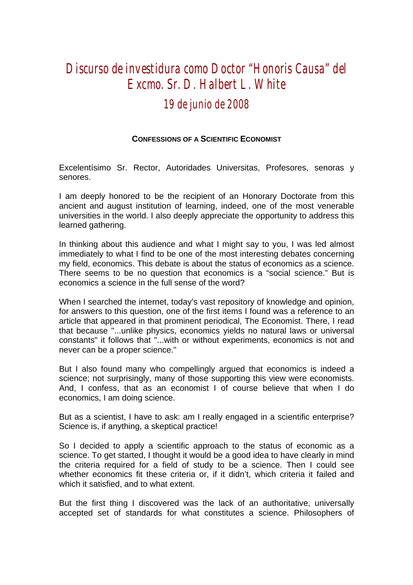## *Discurso de investidura como Doctor "Honoris Causa" del Excmo. Sr. D. Halbert L. White*

## *19 de junio de 2008*

## **CONFESSIONS OF A SCIENTIFIC ECONOMIST**

Excelentísimo Sr. Rector, Autoridades Universitas, Profesores, senoras y senores.

I am deeply honored to be the recipient of an Honorary Doctorate from this ancient and august institution of learning, indeed, one of the most venerable universities in the world. I also deeply appreciate the opportunity to address this learned gathering.

In thinking about this audience and what I might say to you, I was led almost immediately to what I find to be one of the most interesting debates concerning my field, economics. This debate is about the status of economics as a science. There seems to be no question that economics is a "social science." But is economics a science in the full sense of the word?

When I searched the internet, today's vast repository of knowledge and opinion, for answers to this question, one of the first items I found was a reference to an article that appeared in that prominent periodical, The Economist. There, I read that because "...unlike physics, economics yields no natural laws or universal constants" it follows that "...with or without experiments, economics is not and never can be a proper science."

But I also found many who compellingly argued that economics is indeed a science; not surprisingly, many of those supporting this view were economists. And, I confess, that as an economist I of course believe that when I do economics, I am doing science.

But as a scientist, I have to ask: am I really engaged in a scientific enterprise? Science is, if anything, a skeptical practice!

So I decided to apply a scientific approach to the status of economic as a science. To get started, I thought it would be a good idea to have clearly in mind the criteria required for a field of study to be a science. Then I could see whether economics fit these criteria or, if it didn't, which criteria it failed and which it satisfied, and to what extent.

But the first thing I discovered was the lack of an authoritative, universally accepted set of standards for what constitutes a science. Philosophers of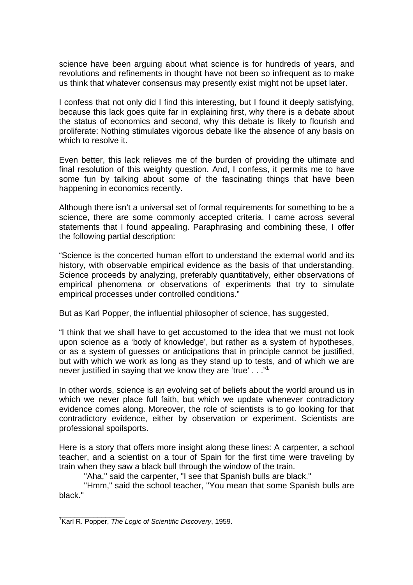science have been arguing about what science is for hundreds of years, and revolutions and refinements in thought have not been so infrequent as to make us think that whatever consensus may presently exist might not be upset later.

I confess that not only did I find this interesting, but I found it deeply satisfying, because this lack goes quite far in explaining first, why there is a debate about the status of economics and second, why this debate is likely to flourish and proliferate: Nothing stimulates vigorous debate like the absence of any basis on which to resolve it.

Even better, this lack relieves me of the burden of providing the ultimate and final resolution of this weighty question. And, I confess, it permits me to have some fun by talking about some of the fascinating things that have been happening in economics recently.

Although there isn't a universal set of formal requirements for something to be a science, there are some commonly accepted criteria. I came across several statements that I found appealing. Paraphrasing and combining these, I offer the following partial description:

"Science is the concerted human effort to understand the external world and its history, with observable empirical evidence as the basis of that understanding. Science proceeds by analyzing, preferably quantitatively, either observations of empirical phenomena or observations of experiments that try to simulate empirical processes under controlled conditions."

But as Karl Popper, the influential philosopher of science, has suggested,

"I think that we shall have to get accustomed to the idea that we must not look upon science as a 'body of knowledge', but rather as a system of hypotheses, or as a system of guesses or anticipations that in principle cannot be justified, but with which we work as long as they stand up to tests, and of which we are never justified in saying that we know they are 'true' . . . "<sup>1</sup>

In other words, science is an evolving set of beliefs about the world around us in which we never place full faith, but which we update whenever contradictory evidence comes along. Moreover, the role of scientists is to go looking for that contradictory evidence, either by observation or experiment. Scientists are professional spoilsports.

Here is a story that offers more insight along these lines: A carpenter, a school teacher, and a scientist on a tour of Spain for the first time were traveling by train when they saw a black bull through the window of the train.

"Aha," said the carpenter, "I see that Spanish bulls are black."

"Hmm," said the school teacher, "You mean that some Spanish bulls are black."

\_\_\_\_\_\_\_\_\_\_\_\_\_\_\_\_\_ 1 Karl R. Popper, *The Logic of Scientific Discovery*, 1959.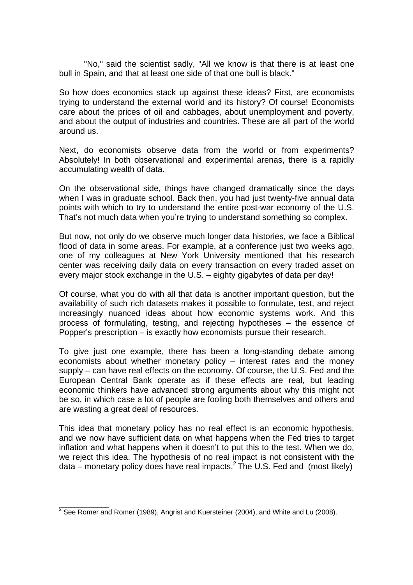"No," said the scientist sadly, "All we know is that there is at least one bull in Spain, and that at least one side of that one bull is black."

So how does economics stack up against these ideas? First, are economists trying to understand the external world and its history? Of course! Economists care about the prices of oil and cabbages, about unemployment and poverty, and about the output of industries and countries. These are all part of the world around us.

Next, do economists observe data from the world or from experiments? Absolutely! In both observational and experimental arenas, there is a rapidly accumulating wealth of data.

On the observational side, things have changed dramatically since the days when I was in graduate school. Back then, you had just twenty-five annual data points with which to try to understand the entire post-war economy of the U.S. That's not much data when you're trying to understand something so complex.

But now, not only do we observe much longer data histories, we face a Biblical flood of data in some areas. For example, at a conference just two weeks ago, one of my colleagues at New York University mentioned that his research center was receiving daily data on every transaction on every traded asset on every major stock exchange in the U.S. – eighty gigabytes of data per day!

Of course, what you do with all that data is another important question, but the availability of such rich datasets makes it possible to formulate, test, and reject increasingly nuanced ideas about how economic systems work. And this process of formulating, testing, and rejecting hypotheses – the essence of Popper's prescription – is exactly how economists pursue their research.

To give just one example, there has been a long-standing debate among economists about whether monetary policy – interest rates and the money supply – can have real effects on the economy. Of course, the U.S. Fed and the European Central Bank operate as if these effects are real, but leading economic thinkers have advanced strong arguments about why this might not be so, in which case a lot of people are fooling both themselves and others and are wasting a great deal of resources.

This idea that monetary policy has no real effect is an economic hypothesis, and we now have sufficient data on what happens when the Fed tries to target inflation and what happens when it doesn't to put this to the test. When we do, we reject this idea. The hypothesis of no real impact is not consistent with the data – monetary policy does have real impacts.<sup>2</sup> The U.S. Fed and (most likely)

\_\_\_\_\_\_\_\_\_\_\_\_\_

 $2$  See Romer and Romer (1989), Angrist and Kuersteiner (2004), and White and Lu (2008).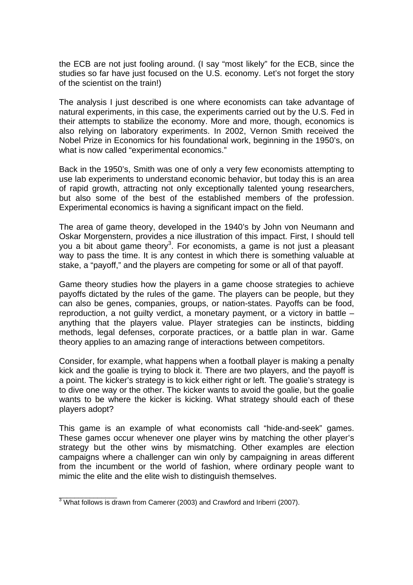the ECB are not just fooling around. (I say "most likely" for the ECB, since the studies so far have just focused on the U.S. economy. Let's not forget the story of the scientist on the train!)

The analysis I just described is one where economists can take advantage of natural experiments, in this case, the experiments carried out by the U.S. Fed in their attempts to stabilize the economy. More and more, though, economics is also relying on laboratory experiments. In 2002, Vernon Smith received the Nobel Prize in Economics for his foundational work, beginning in the 1950's, on what is now called "experimental economics."

Back in the 1950's, Smith was one of only a very few economists attempting to use lab experiments to understand economic behavior, but today this is an area of rapid growth, attracting not only exceptionally talented young researchers, but also some of the best of the established members of the profession. Experimental economics is having a significant impact on the field.

The area of game theory, developed in the 1940's by John von Neumann and Oskar Morgenstern, provides a nice illustration of this impact. First, I should tell you a bit about game theory<sup>3</sup>. For economists, a game is not just a pleasant way to pass the time. It is any contest in which there is something valuable at stake, a "payoff," and the players are competing for some or all of that payoff.

Game theory studies how the players in a game choose strategies to achieve payoffs dictated by the rules of the game. The players can be people, but they can also be genes, companies, groups, or nation-states. Payoffs can be food, reproduction, a not guilty verdict, a monetary payment, or a victory in battle – anything that the players value. Player strategies can be instincts, bidding methods, legal defenses, corporate practices, or a battle plan in war. Game theory applies to an amazing range of interactions between competitors.

Consider, for example, what happens when a football player is making a penalty kick and the goalie is trying to block it. There are two players, and the payoff is a point. The kicker's strategy is to kick either right or left. The goalie's strategy is to dive one way or the other. The kicker wants to avoid the goalie, but the goalie wants to be where the kicker is kicking. What strategy should each of these players adopt?

This game is an example of what economists call "hide-and-seek" games. These games occur whenever one player wins by matching the other player's strategy but the other wins by mismatching. Other examples are election campaigns where a challenger can win only by campaigning in areas different from the incumbent or the world of fashion, where ordinary people want to mimic the elite and the elite wish to distinguish themselves.

 $\frac{3}{3}$ What follows is drawn from Camerer (2003) and Crawford and Iriberri (2007).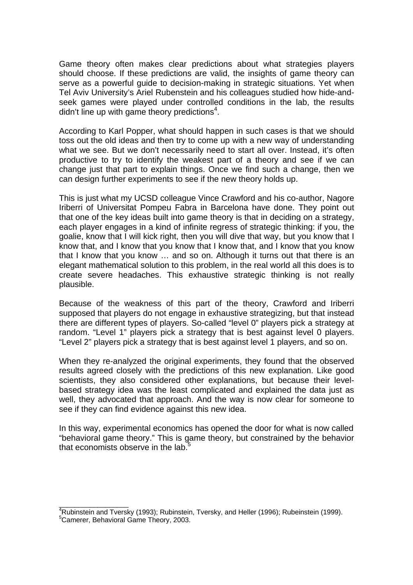Game theory often makes clear predictions about what strategies players should choose. If these predictions are valid, the insights of game theory can serve as a powerful guide to decision-making in strategic situations. Yet when Tel Aviv University's Ariel Rubenstein and his colleagues studied how hide-andseek games were played under controlled conditions in the lab, the results didn't line up with game theory predictions<sup>4</sup>.

According to Karl Popper, what should happen in such cases is that we should toss out the old ideas and then try to come up with a new way of understanding what we see. But we don't necessarily need to start all over. Instead, it's often productive to try to identify the weakest part of a theory and see if we can change just that part to explain things. Once we find such a change, then we can design further experiments to see if the new theory holds up.

This is just what my UCSD colleague Vince Crawford and his co-author, Nagore Iriberri of Universitat Pompeu Fabra in Barcelona have done. They point out that one of the key ideas built into game theory is that in deciding on a strategy, each player engages in a kind of infinite regress of strategic thinking: if you, the goalie, know that I will kick right, then you will dive that way, but you know that I know that, and I know that you know that I know that, and I know that you know that I know that you know … and so on. Although it turns out that there is an elegant mathematical solution to this problem, in the real world all this does is to create severe headaches. This exhaustive strategic thinking is not really plausible.

Because of the weakness of this part of the theory, Crawford and Iriberri supposed that players do not engage in exhaustive strategizing, but that instead there are different types of players. So-called "level 0" players pick a strategy at random. "Level 1" players pick a strategy that is best against level 0 players. "Level 2" players pick a strategy that is best against level 1 players, and so on.

When they re-analyzed the original experiments, they found that the observed results agreed closely with the predictions of this new explanation. Like good scientists, they also considered other explanations, but because their levelbased strategy idea was the least complicated and explained the data just as well, they advocated that approach. And the way is now clear for someone to see if they can find evidence against this new idea.

In this way, experimental economics has opened the door for what is now called "behavioral game theory." This is game theory, but constrained by the behavior that economists observe in the lab.<sup>5</sup>

\_\_\_\_\_\_\_\_\_\_\_\_\_\_\_\_\_\_

<sup>&</sup>lt;sup>4</sup>Rubinstein and Tversky (1993); Rubinstein, Tversky, and Heller (1996); Rubeinstein (1999).<br><sup>5</sup>Comerer, Bebouierel Come Theory, 2003. Camerer, Behavioral Game Theory, 2003.